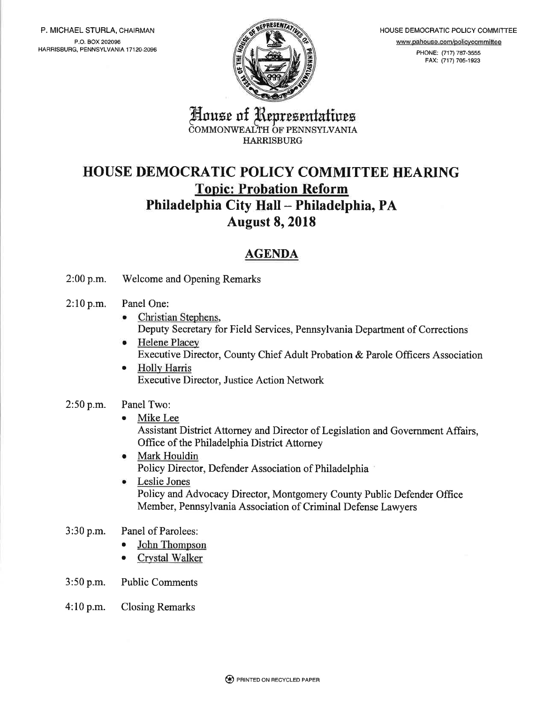P. MICHAEL STURLA, CHAIRMAN P.O. BOX 202096 HARRISBURG, PENNSYLVANIA 17120-2096



HOUSE DEMOCRATIC POLICY COMMITTEE www.pahouse.com/policvcommittee PHONE: (717) 787-3555 FAX: (717) 705-1923

House of Representatives COMMONWEALTH OF PENNSYLVANIA HARRISBURG

## HOUSE DEMOCRATIC POLICY COMMITTEE HEARING **Topic: Probation Reform** Philadelphia City Hall - Philadelphia, PA August 8, 2018

### AGENDA

2:00 p.m. Welcome and Opening Remarks

#### 2:10 p.m. Panel One:

- Christian Stephens, Deputy Secretary for Field Services, Pennsylvania Departrnent of Corrections
- o Helene Placey Executive Director, County Chief Adult Probation & Parole Officers Association
- **•** Holly Harris Executive Director, Justice Action Network

#### $2:50$  p.m. Panel Two:

Mike Lee

Assistant District Attorney and Director of Legislation and Government Affairs, Office of the Philadelphia District Attorney

- o Mark Houldin Policy Director, Defender Association of Philadelphia
- a Leslie Jones Policy and Advocacy Director, Montgomery County Public Defender Office Member, Pennsylvania Association of Criminal Defense Lawyers
- 3:30 p.m. Panel of Parolees:
	- John Thompson
	- Crystal Walker
- 3:50 p.m. Public Comments
- 4:10 p.m. Closing Remarks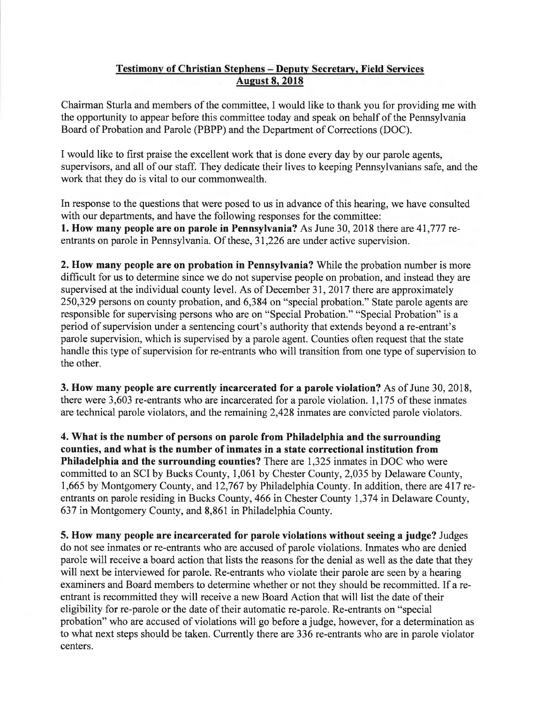### Testimonv of Christian Stephens - Deputv Secretarv, Field Services **August 8, 2018**

Chairman Sturla and members of the committee, I would like to thank you for providing me with the opportunity to appear before this committee today and speak on behalf of the Pennsylvania Board of Probation and Parole (PBPP) and the Department of Corrections (DOC).

I would like to first praise the excellent work that is done every day by our parole agents, supervisors, and all of our staff. They dedicate their lives to keeping Pennsylvanians safe, and the work that they do is vital to our commonwealth.

In response to the questions that were posed to us in advance of this hearing, we have consulted with our departments, and have the following responses for the committee: L. How many people are on parole in Pennsylvania? As June 30, 2018 there are 41,777 rcentrants on parole in Pennsylvania. Of these, 31,226 are under active supervision.

2. How many people are on probation in Pennsylvania? While the probation number is more difficult for us to determine since we do not supervise people on probation, and instead they are supervised at the individual county level. As of December 31, 2017 there are approximately 250,329 persons on county probation, and 6,384 on "special probation." State parole agents are responsible for supervising persons who are on "Special Probation." "Special Probation" is a period of supervision under a sentencing court's authority that extends beyond a re-entrant's parole supervision, which is supervised by a parole agent. Counties often request that the state handle this type of supervision for re-entrants who will transition from one type of supervision to the other.

3. How many people are currently incarcerated for a parole violation? As of June 30, 2018, there were 3,603 re-entrants who are incarcerated for a parole violation. 1,175 of these inmates are technical parole violators, and the remaining 2,428 inmates are convicted parole violators.

4. What is the number of persons on parole from Philadelphia and the surrounding counties, and what is the number of inmates in a state correctional institution from Philadelphia and the surrounding counties? There are 1,325 inmates in DOC who were committed to an SCI by Bucks County, 1,061 by Chester County, 2,035 by Delaware County, 1,665 by Montgomery County, and 12,767 by Philadelphia County. In addition, there are 417 reentrants on parole residing in Bucks County, 466 in Chester County 1,374 in Delaware County, 637 in Montgomery County, and 8,861 in Philadelphia County.

5. How many people are incarcerated for parole violations without seeing a judge? Judges do not see inmates or re-entrants who are accused of parole violations. Inmates who are denied parole will receive a board action that lists the reasons for the denial as well as the date that they will next be interviewed for parole. Re-entrants who violate their parole are seen by a hearing examiners and Board members to determine whether or not they should be recommitted. If a reentrant is recommitted they will receive a new Board Action that will list the date of their eligibility for re-parole or the date of their automatic re-parole. Re-entrants on "special probation" who are accused of violations will go before a judge, however, for a determination as to what next steps should be taken. Currently there are 336 re-entrants who are in parole violator centers.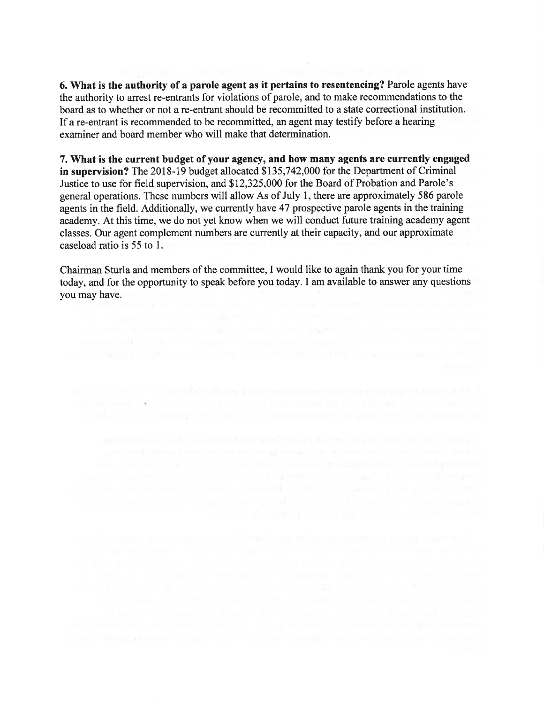6. What is the authority of a parole agent as it pertains to resentencing? Parole agents have the authority to arrest re-entrants for violations of parole, and to make recommendations to the board as to whether or not a re-entrant should be recommitted to a state correctional institution. If a re-entrant is recommended to be recommitted, an agent may testify before a hearing examiner and board member who will make that determination.

7. What is the current budget of your agency, and how many agents are currently engaged in supervision? The 2018-19 budget allocated \$135,742,000 for the Department of Criminal Justice to use for field supervision, and \$12,325,000 for the Board of Probation and Parole's general operations. These numbers will allow As of July 1, there are approximately 586 parole agents in the field. Additionally, we currently have 47 prospective parole agents in the training academy. At this time, we do not yet know when we will conduct future training academy agent classes. Our agent complement numbers are currently at their capacity, and our approximate caseload ratio is 55 to l.

Chairman Sturla and members of the committee, I would like to again thank you for your time today, and for the opportunity to speak before you today. I am available to answer any questions you may have.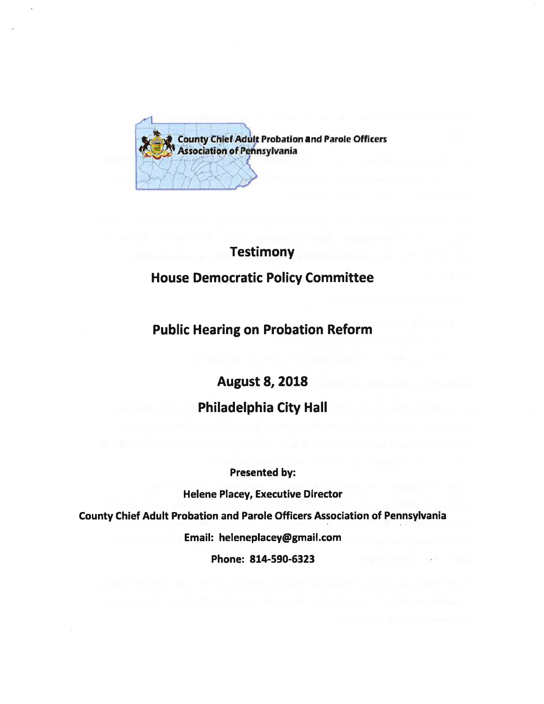

# **Testimony** House Democratic Policy Committee

### Public Hearing on Probation Reform

## August 8, 2018 Philadelphia City Hall

Presented by: Helene Placey, Executive Director County Chief Adult Probation and Parole Officers Association of Pennsylvania Email: heleneplacey@gmail.com Phone: 814-590-6323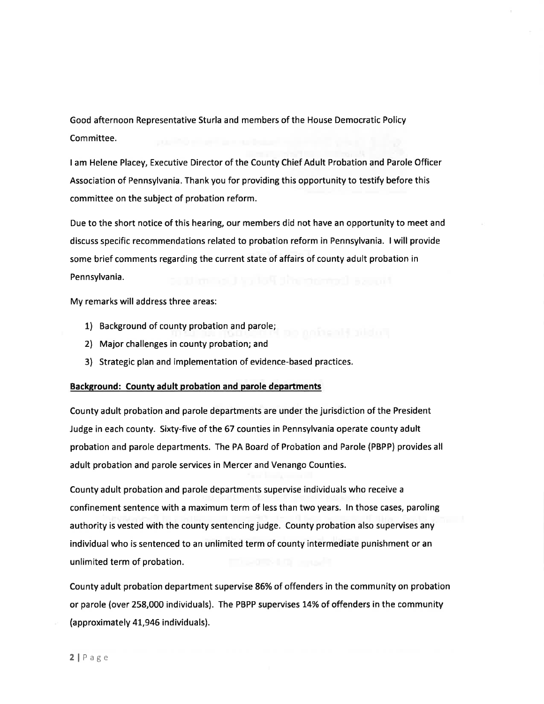Good afternoon Representative Sturla and members of the House Democratic Policy Committee.

I am Helene Placey, Executive Director of the County Chief Adult Probation and Parole Officer Association of Pennsylvania. Thank you for providing this opportunity to testify before this committee on the subject of probation reform.

Due to the short notice of this hearing, our members did not have an opportunity to meet and discuss specific recommendations related to probation reform in Pennsylvania. I will provide some brief comments regarding the current state of affairs of county adult probation in Pennsylvania.

My remarks will address three areas:

- 1) Background of county probation and parole;
- 2) Major challenges in county probation; and
- 3) Strategic plan and implementation of evidence-based practices.

#### Background: County adult probation and parole departments

County adult probation and parole departments are under the jurisdiction of the President Judge in each county. Sixty-five of the 57 counties in Pennsylvania operate county adult probation and parole departments. The PA Board of Probation and Parole (PBPP) provides all adult probation and parole services in Mercer and Venango Counties.

County adult probation and parole departments supervise individuals who receive <sup>a</sup> confinement sentence with a maximum term of less than two years. ln those cases, paroling authority is vested with the county sentencing judge. County probation also supervises any individual who is sentenced to an unlimited term of county intermediate punishment or an unlimited term of probation.

County adult probation department supervise 86% of offenders in the community on probation or parole (over 258,000 individuals). The PBPP supervises 14% of offenders in the community (approximately 41,946 individuals).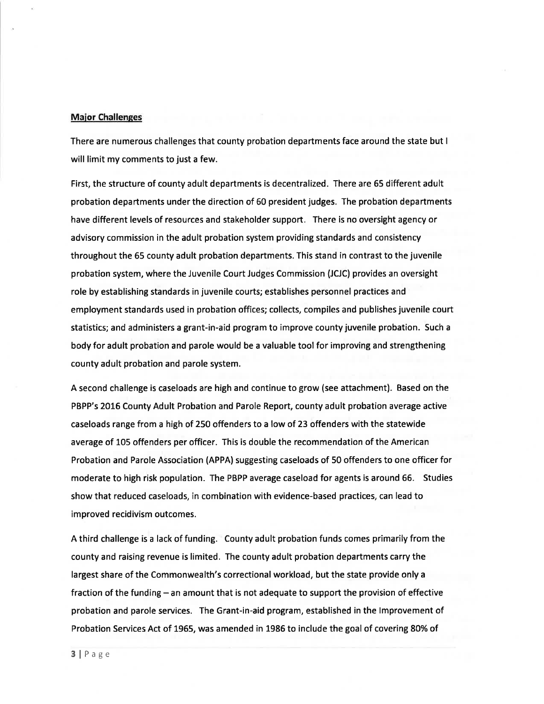#### **Major Challenges**

There are numerous challenges that county probation departments face around the state but <sup>I</sup> will limit my comments to just a few.

First, the structure of county adult departments is decentralized. There are 65 different adult probation departments under the direction of 60 president judges. The probation departments have different levels of resources and stakeholder support. There is no oversight agency or advisory commission in the adult probation system providing standards and consistency throughout the 65 county adult probation departments. This stand in contrast to the juvenile probation system, where the Juvenile Court Judges Commission (JCJC) provides an oversight role by establishing standards in juvenile courts; establishes personnel practices and employment standards used in probation offices; collects, compiles and publishes juvenile court statistics; and administers a grant-in-aid program to improve county juvenile probation. Such <sup>a</sup> body for adult probation and parole would be a valuable tool for improving and strengthening county adult probation and parole system.

A second challenge is caseloads are high and continue to grow (see attachment). Based on the PBPP's 2016 County Adult Probation and Parole Report, county adult probation average active caseloads range from a high of 250 offenders to a low of 23 offenders with the statewide average of 105 offenders per officer. This is double the recommendation of the American Probation and Parole Association (APPA) suggesting caseloads of 50 offenders to one officer for moderate to high risk population. The PBPP average caseload for agents is around 66. Studies show that reduced caseloads, in combination with evidence-based practices, can lead to improved recidivism outcomes.

A third challenge is a lack of funding. County adult probation funds comes primarily from the county and raising revenue is limited. The county adult probation departments carry the largest share of the Commonwealth's correctional workload, but the state provide only a fraction of the funding  $-$  an amount that is not adequate to support the provision of effective probation and parole services. The Grant-in-aid program, established in the lmprovement of Probation Services Act of 1955, was amended in 1985 to include the goal of covering 8O% of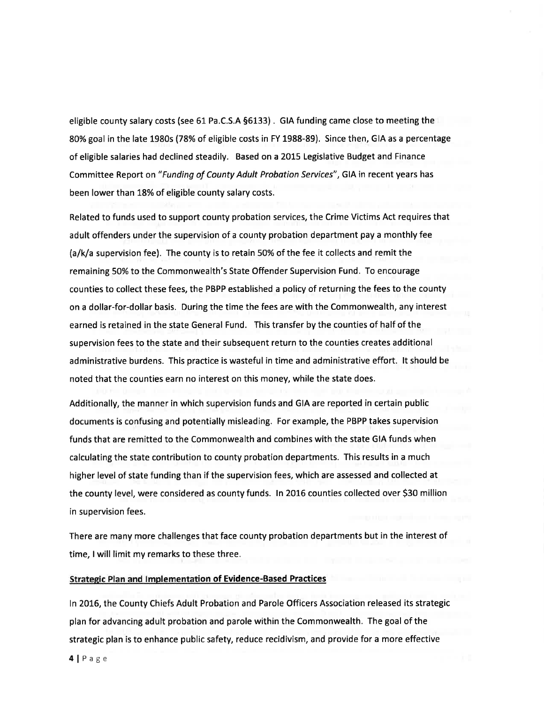eligible county salary costs (see 61 Pa.C.S.A 56133) . GIA funding came close to meeting the 80% goal in the late 1980s (78% of eligible costs in FY 1988-89). Since then, GIA as a percentage of eligible salaries had declined steadily. Based on a 2015 Legislative Budget and Finance Committee Report on "Funding of County Adult Probation Services", GIA in recent years has been lower than 18% of eligible county salary costs.

Related to funds used to support county probation services, the Crime Victims Act requires that adult offenders under the supervision of a county probation department pay a monthly fee (a/k/a supervision fee). The county is to retain 5O% of the fee it collects and remit the remaining 50% to the Commonwealth's State Offender Supervision Fund. To encourage counties to collect these fees, the PBPP established a policy of returning the fees to the county on a dollar-for-dollar basis. During the time the fees are with the Commonwealth, any interest earned is retained in the state General Fund. This transfer by the counties of half of the supervision fees to the state and their subsequent return to the counties creates additional administrative burdens. This practice is wasteful in time and administrative effort. lt should be noted that the counties earn no interest on this money, while the state does.

Additionally, the manner in which supervision funds and GIA are reported in certain public documents is confusing and potentially misleading. For example, the PBPP takes supervision funds that are remitted to the Commonwealth and combines with the state GIA funds when calculating the state contribution to county probation departments. This results in a much higher level of state funding than if the supervision fees, which are assessed and collected at the county level, were considered as county funds. ln 2016 counties collected over S30 million in supervision fees.

There are many more challenges that face county probation departments but in the interest of time, I will limit my remarks to these three.

#### Strategic Plan and Implementation of Evidence-Based Practices

ln 2015, the County Chiefs Adult Probation and Parole Officers Association released its strategic plan for advancing adult probation and parole within the Commonwealth. The goal of the strategic plan is to enhance public safety, reduce recidivism, and provide for a more effective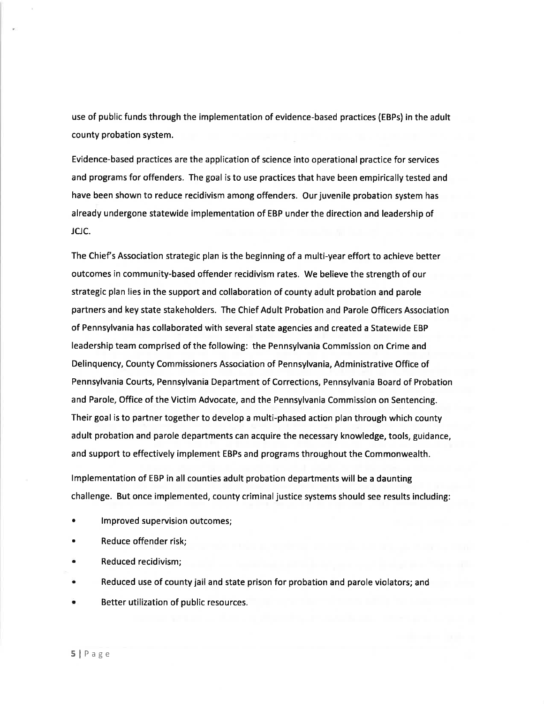use of public funds through the implementation of evidence-based practices (EBPs) in the adult county probation system.

Evidence-based practices are the application of science into operational practice for services and programs for offenders. The goal is to use practices that have been empirically tested and have been shown to reduce recidivism among offenders. Our juvenile probation system has already undergone statewide implementation of EBP under the direction and leadership of JCJC.

The Chief's Association strategic plan is the beginning of a multi-year effort to achieve better outcomes in community-based offender recidivism rates. We believe the strength of our strategic plan lies in the support and collaboration of county adult probation and parole partners and key state stakeholders. The Chief Adult Probation and Parole Officers Association of Pennsylvania has collaborated with several state agencies and created a Statewide EBP leadership team comprised of the following: the Pennsylvania Commission on Crime and Delinquency, County Commissioners Association of Pennsylvania, Administrative Office of Pennsylvania Courts, Pennsylvania Department of Corrections, Pennsylvania Board of Probation and Parole, Office of the Victim Advocate, and the Pennsylvania Commission on Sentencing. Their goal is to partner together to develop a multi-phased action plan through which county adult probation and parole departments can acquire the necessary knowledge, tools, guidance, and support to effectively implement EBPs and programs throughout the Commonwealth.

lmplementation of EBP in all counties adult probation departments will be a daunting challenge. But once implemented, county criminal justice systems should see results including:

- . lmproved supervision outcomes;
- . Reduce offender risk;
- . Reduced recidivism;
- . Reduced use of county jail and state prison for probation and parole violators; and
- . Better utilization of public resources.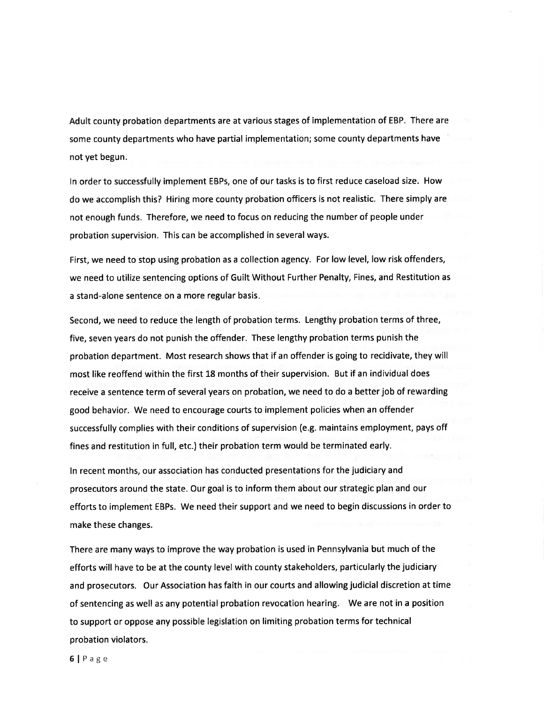Adult county probation departments are at various stages of implementation of EBP. There are some county departments who have partial implementation; some county departments have not yet begun.

ln order to successfully implement EBPs, one of our tasks is to first reduce caseload size. How do we accomplish this? Hiring more county probation officers is not realistic. There simply are not enough funds. Therefore, we need to focus on reducing the number of people under probation supervision. This can be accomplished in several ways.

First, we need to stop using probation as a collection agency. For low level, low risk offenders, we need to utilize sentencing options of Guilt Without Further Penalty, Fines, and Restitution as a stand-alone sentence on a more regular basis.

Second, we need to reduce the length of probation terms. Lengthy probation terms of three, five, seven years do not punish the offender. These lengthy probation terms punish the probation department. Most research shows that if an offender is going to recidivate, they will most like reoffend within the first 18 months of their supervision. But if an individual does receive a sentence term of several years on probation, we need to do a better job of rewarding good behavior. We need to encourage courts to implement policies when an offender successfully complies with their conditions of supervision (e.g. maintains employment, pays off fines and restitution in full, etc.) their probation term would be terminated early.

ln recent months, our association has conducted presentations for the judiciary and prosecutors around the state. Our goal is to inform them about our strategic plan and our efforts to implement EBPs. We need their support and we need to begin discussions in order to make these changes.

There are many ways to improve the way probation is used in Pennsylvania but much of the efforts will have to be at the county level with county stakeholders, particularly the judiciary and prosecutors. Our Association has faith in our courts and allowing judicial discretion at time of sentencing as well as any potential probation revocation hearing. We are not in a position to support or oppose any possible legislation on limiting probation terms for technical probation violators.

6lPage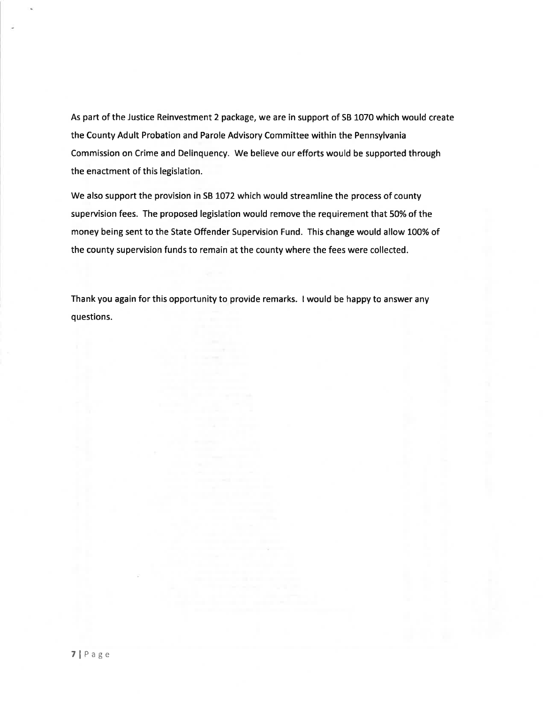As part of the Justice Reinvestment 2 package, we are in support of SB 1070 which would create the County Adult Probation and Parole Advisory Committee within the Pennsylvania Commission on Crime and Delinquency. We believe our efforts would be supported through the enactment of this legislation.

We also support the provision in SB 1072 which would streamline the process of county supervision fees. The proposed legislation would remove the requirement that 50% of the money being sent to the State Offender Supervision Fund. This change would allow 100% of the county supervision funds to remain at the county where the fees were collected.

Thank you again for this opportunity to provide remarks. I would be happy to answer any questions.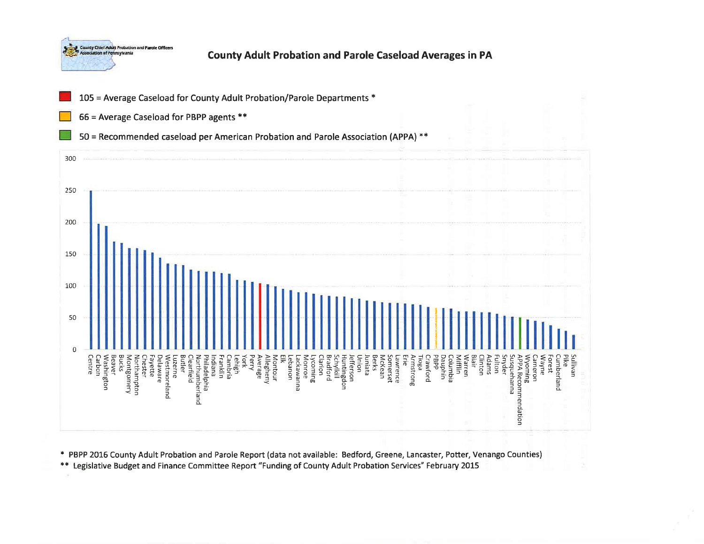



't PBPP 2016 County Adult Probation and Parole Report (data not available: Bedford, Greene, Lancaster, Potter, Venango Counties)

\*\* Legislative Budget and Finance Committee Report "Funding of County Adult Probation Services" February 2015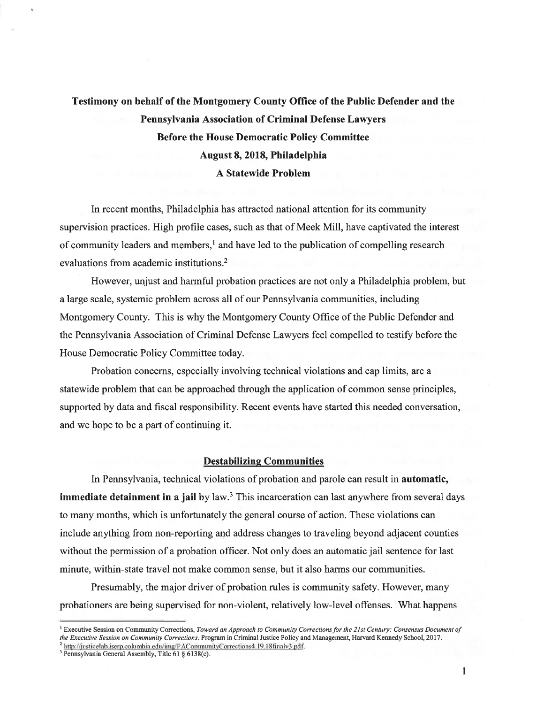### Testimony on behalf of the Montgomery County Office of the Public Defender and the Pennsylvania Association of Criminal Defense Lawyers Before the House Democratic Policy Committee August 8, 2018, Philadelphia A Statewide Problem

In recent months, Philadelphia has attracted national attention for its community supervision practices. High profile cases, such as that of Meek Mill, have captivated the interest of community leaders and members, $\mathbf{l}$  and have led to the publication of compelling research evaluations from academic institutions.2

However, unjust and harmful probation practices are not only a Philadelphia problem, but a large scale, systemic problem across all of our Pennsylvania communities, including Montgomery County. This is why the Montgomery County Office of the Public Defender and the Pennsylvania Association of Criminal Defense Lawyers feel compelled to testify before the House Democratic Policy Committee today.

Probation concems, especially involving technical violations and cap limits, are a statewide problem that can be approached through the application of common sense principles, supported by data and fiscal responsibility. Recent events have started this needed conversation, and we hope to be a part of continuing it.

#### Destabilizinq Communities

In Pennsylvania, technical violations of probation and parole can result in automatic, immediate detainment in a jail by  $law$ .<sup>3</sup> This incarceration can last anywhere from several days to many months, which is unfortunately the general course of action. These violations can include anything from non-reporting and address changes to traveling beyond adjacent counties without the permission of a probation officer. Not only does an automatic jail sentence for last minute, within-state travel not make common sense, but it also harms our communities.

Presumably, the major driver of probation rules is community safety. However, many probationers are being supervised for non-violent, relatively low-level offenses. What happens

<sup>&</sup>lt;sup>1</sup> Executive Session on Community Corrections, Toward an Approach to Community Corrections for the 21st Century: Consensus Document of the Executive Session on Community Corrections. Program in Criminal Justice Policy and Management, Harvard Kennedy School, 2017. <sup>2</sup> http://justicelab.iserp.columbia.edu/img/PACommunityCorrections4.19.18finalv3.pdf.

<sup>&</sup>lt;sup>3</sup> Pennsylvania General Assembly, Title 61  $\S$  6138(c).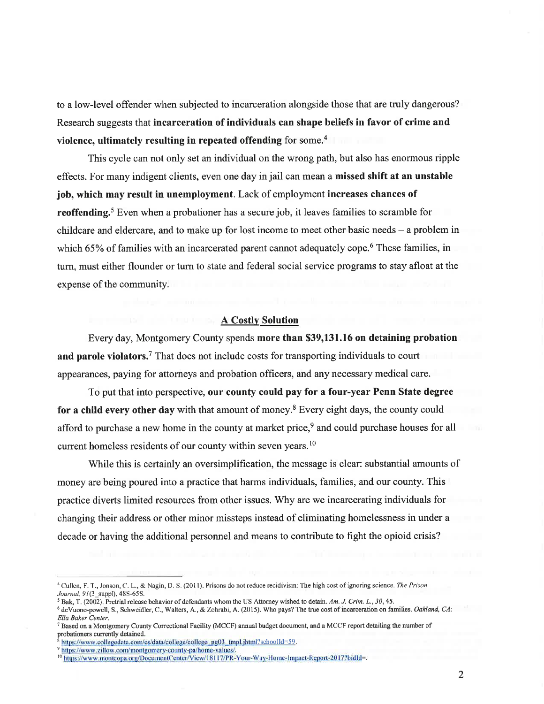to a low-level offender when subjected to incarceration alongside those that are truly dangerous? Research suggests that incarceration of individuals can shape beliefs in favor of crime and violence, ultimately resulting in repeated offending for some.<sup>4</sup>

This cycle can not only set an individual on the wrong path, but also has enorrnous ripple effects. For many indigent clients, even one day in jail can mean a missed shift at an unstable job, which may result in unemployment. Lack of employment increases chances of **reoffending.**<sup>5</sup> Even when a probationer has a secure job, it leaves families to scramble for childcare and eldercare, and to make up for lost income to meet other basic needs  $-$  a problem in which 65% of families with an incarcerated parent cannot adequately cope.<sup>6</sup> These families, in turn, must either flounder or turn to state and federal social service programs to stay afloat at the expense of the community.

#### A Costlv Solution

Every day, Montgomery County spends more than \$39,131.16 on detaining probation and parole violators.<sup>7</sup> That does not include costs for transporting individuals to court appearances, paying for attorneys and probation officers, and any necessary medical care.

To put that into perspective, our county could pay for a four-year Penn State degree for a child every other day with that amount of money.<sup>8</sup> Every eight days, the county could afford to purchase a new home in the county at market price,<sup>9</sup> and could purchase houses for all current homeless residents of our county within seven years.<sup>10</sup>

While this is certainly an oversimplification, the message is clear: substantial amounts of money are being poured into a practice that harms individuals, families, and our county. This practice diverts limited resources from other issues. Why are we incarcerating individuals for changing their address or other minor missteps instead of eliminating homelessness in under a decade or having the additional personnel and means to contribute to fight the opioid crisis?

<sup>&</sup>lt;sup>4</sup> Cullen, F. T., Jonson, C. L., & Nagin, D. S. (2011). Prisons do not reduce recidivism: The high cost of ignoring science. The Prison Journal, 91(3 suppl), 48S-65S.

 $5$  Bak, T. (2002). Pretrial release behavior of defendants whom the US Attorney wished to detain. Am. J. Crim. L., 30, 45.

<sup>&</sup>lt;sup>6</sup> deVuono-powell, S., Schweidler, C., Walters, A., & Zohrabi, A. (2015). Who pays? The true cost of incarceration on families. Oakland, CA: Ella Baker Center.

<sup>7</sup>Based on a Montgomery County Correctional Facility (MCCF) annual budget document, and a MCCF report detailing the number of probationers currently detained.

https://www.collegedata.com/cs/data/college/college\_pg03\_tmpl.jhtml?schoolld=59.

<sup>&</sup>lt;sup>9</sup> https://www.zillow.com/montgomery-county-pa/home-values/.

<sup>&</sup>lt;sup>10</sup> https://www.montcopa.org/DocumentCenter/View/18117/PR-Your-Way-Home-Impact-Report-2017?bidId=.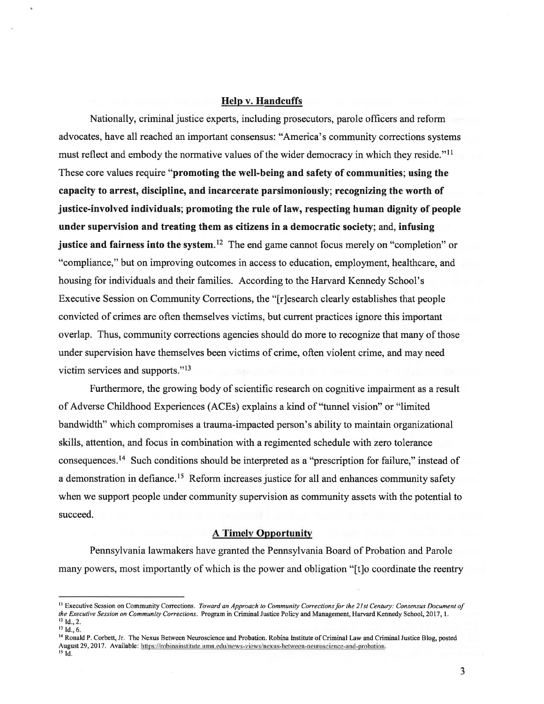#### Help v. Handcuffs

Nationally, criminal justice experts, including prosecutors, parole officers and reform advocates, have all reached an important consensus: "America's community corrections systems must reflect and embody the normative values of the wider democracy in which they reside."<sup>11</sup> These core values require "promoting the well-being and safety of communities; using the capacity to arrest, discipline, and incarcerate parsimoniously; recognizing the worth of justice-involved individuals; promoting the rule of law, respecting human dignity of people under supervision and treating them as citizens in a democratic society; and, infusing justice and fairness into the system.<sup>12</sup> The end game cannot focus merely on "completion" or "compliance," but on improving outcomes in access to education, employment, healthcare, and housing for individuals and their families. According to the Harvard Kennedy School's Executive Session on Community Corrections, the "[r]esearch clearly establishes that people convicted of crimes are often themselves victims, but current practices ignore this important overlap. Thus, community corrections agencies should do more to recognize that many of those under supervision have themselves been victims of crime, often violent crime, and may need victim services and supports."l3

Furthermore, the growing body of scientific research on cognitive impairment as a result of Adverse Childhood Experiences (ACEs) explains a kind of "tunnel vision" or "limited bandwidth" which compromises a trauma-impacted person's ability to maintain organizational skills, attention, and focus in combination with a regimented schedule with zero tolerance consequences.<sup>14</sup> Such conditions should be interpreted as a "prescription for failure," instead of a demonstration in defiance.<sup>15</sup> Reform increases justice for all and enhances community safety when we support people under community supervision as community assets with the potential to succeed.

#### **A Timely Opportunity**

Pennsylvania lawmakers have granted the Pennsylvania Board of Probation and Parole many powers, most importantly of which is the power and obligation "[t]o coordinate the reentry

<sup>&</sup>lt;sup>11</sup> Executive Session on Community Corrections. Toward an Approach to Community Corrections for the 21st Century: Consensus Document of the Executive Session on Community Corrections. Program in Criminal Justice Policy and Management, Harvard Kennedy School,2017 , L  $12$  Id., 2.

 $13$  Id., 6.

<sup>&</sup>lt;sup>14</sup> Ronald P. Corbett, Jr. The Nexus Between Neuroscience and Probation. Robina Institute of Criminal Law and Criminal Justice Blog, posted August 29, 2017. Available: https://robinainstitute.umn.edu/news-views/nexus-between-neuroscience-and-probation.  $15$  Id.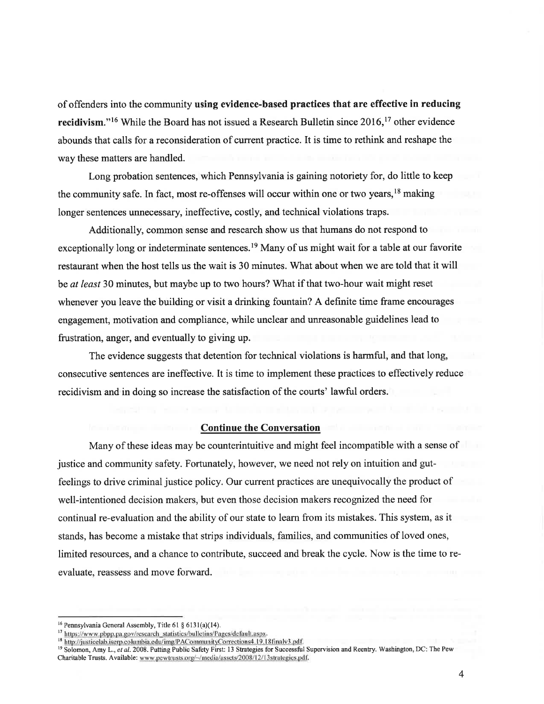of offenders into the community using evidence-based practices that are effective in reducing recidivism."<sup>16</sup> While the Board has not issued a Research Bulletin since 2016,<sup>17</sup> other evidence abounds that calls for a reconsideration of current practice. It is time to rethink and reshape the way these matters are handled.

Long probation sentences, which Pennsylvania is gaining notoriety for, do little to keep the community safe. In fact, most re-offenses will occur within one or two years,<sup>18</sup> making longer sentences unnecessary, ineffective, costly, and technical violations traps.

Additionally, common sense and research show us that humans do not respond to exceptionally long or indeterminate sentences.<sup>19</sup> Many of us might wait for a table at our favorite restaurant when the host tells us the wait is 30 minutes. What about when we are told that it will be at least 30 minutes, but maybe up to two hours? What if that two-hour wait might reset whenever you leave the building or visit a drinking fountain? A definite time frame encourages engagement, motivation and compliance, while unclear and unreasonable guidelines lead to frustration, anger, and eventually to giving up.

The evidence suggests that detention for technical violations is harmful, and that long, consecutive sentences are ineffective. It is time to implement these practices to effectively reduce recidivism and in doing so increase the satisfaction of the courts' lawful orders.

#### Continue the Conversation

Many of these ideas may be counterintuitive and might feel incompatible with a sense of justice and community safety. Fortunately, however, we need not rely on intuition and gutfeelings to drive criminal justice policy. Our current practices are unequivocally the product of well-intentioned decision makers, but even those decision makers recognized the need for continual re-evaluation and the ability of our state to learn from its mistakes. This system, as it stands, has become a mistake that strips individuals, families, and communities of loved ones, limited resources, and a chance to contribute, succeed and break the cycle. Now is the time to reevaluate, reassess and move forward.

 $16$  Pennsylvania General Assembly, Title 61  $§$  6131(a)(14).

<sup>&</sup>lt;sup>17</sup> https://www.pbpp.pa.gov/research\_statistics/bulletins/Pages/default.aspx.

<sup>&</sup>lt;sup>18</sup>http://justicelab.iserp.columbia.edu/img/PACommunityCorrections4.19.18finalv3.pdf.<br><sup>19</sup> Solomon, Amy L., et al. 2008. Putting Public Safety First: 13 Strategies for Successful Supervision and Reentry. Washington, DC: T Charitable Trusts. Available: www.pewtrusts.org/-/media/assets/2008/12/13strategies.pdf.